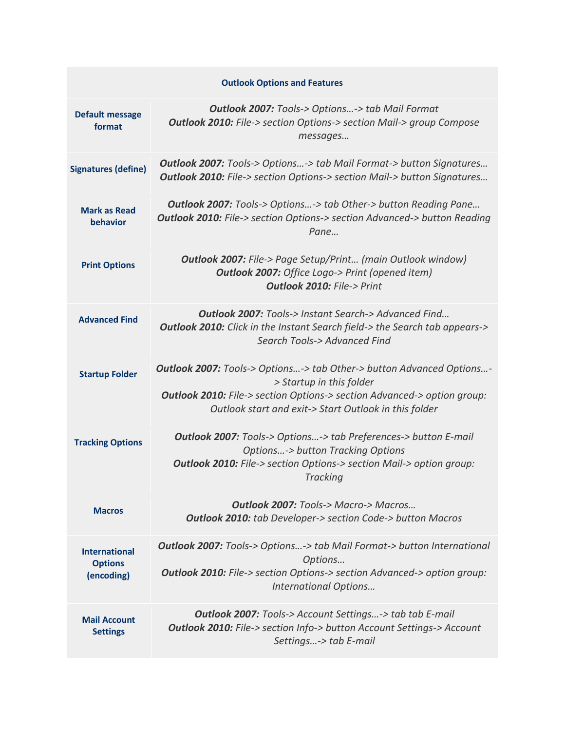| <b>Outlook Options and Features</b>                  |                                                                                                                                                                                                                                                    |  |
|------------------------------------------------------|----------------------------------------------------------------------------------------------------------------------------------------------------------------------------------------------------------------------------------------------------|--|
| <b>Default message</b><br>format                     | <b>Outlook 2007:</b> Tools-> Options-> tab Mail Format<br><b>Outlook 2010:</b> File-> section Options-> section Mail-> group Compose<br>messages                                                                                                   |  |
| <b>Signatures (define)</b>                           | <b>Outlook 2007:</b> Tools-> Options-> tab Mail Format-> button Signatures<br><b>Outlook 2010:</b> File-> section Options-> section Mail-> button Signatures                                                                                       |  |
| <b>Mark as Read</b><br>behavior                      | <b>Outlook 2007:</b> Tools-> Options-> tab Other-> button Reading Pane<br><b>Outlook 2010:</b> File-> section Options-> section Advanced-> button Reading<br>Pane                                                                                  |  |
| <b>Print Options</b>                                 | <b>Outlook 2007:</b> File-> Page Setup/Print (main Outlook window)<br><b>Outlook 2007:</b> Office Logo-> Print (opened item)<br><b>Outlook 2010: File-&gt; Print</b>                                                                               |  |
| <b>Advanced Find</b>                                 | <b>Outlook 2007:</b> Tools-> Instant Search-> Advanced Find<br>Outlook 2010: Click in the Instant Search field-> the Search tab appears-><br>Search Tools-> Advanced Find                                                                          |  |
| <b>Startup Folder</b>                                | <b>Outlook 2007:</b> Tools-> Options-> tab Other-> button Advanced Options-<br>> Startup in this folder<br><b>Outlook 2010:</b> File-> section Options-> section Advanced-> option group:<br>Outlook start and exit-> Start Outlook in this folder |  |
| <b>Tracking Options</b>                              | <b>Outlook 2007:</b> Tools-> Options-> tab Preferences-> button E-mail<br><b>Options-&gt; button Tracking Options</b><br><b>Outlook 2010:</b> File-> section Options-> section Mail-> option group:<br><b>Tracking</b>                             |  |
| <b>Macros</b>                                        | Outlook 2007: Tools-> Macro-> Macros<br><b>Outlook 2010:</b> tab Developer-> section Code-> button Macros                                                                                                                                          |  |
| <b>International</b><br><b>Options</b><br>(encoding) | <b>Outlook 2007:</b> Tools-> Options-> tab Mail Format-> button International<br>Options<br><b>Outlook 2010:</b> File-> section Options-> section Advanced-> option group:<br><b>International Options</b>                                         |  |
| <b>Mail Account</b><br><b>Settings</b>               | <b>Outlook 2007:</b> Tools-> Account Settings-> tab tab E-mail<br><b>Outlook 2010:</b> File-> section Info-> button Account Settings-> Account<br>Settings-> tab E-mail                                                                            |  |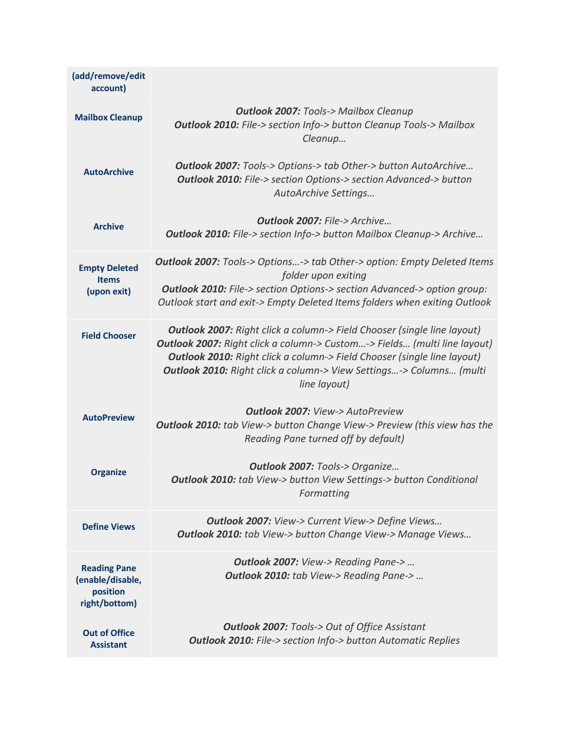| (add/remove/edit<br>account)                                         |                                                                                                                                                                                                                                                                                                                                                   |
|----------------------------------------------------------------------|---------------------------------------------------------------------------------------------------------------------------------------------------------------------------------------------------------------------------------------------------------------------------------------------------------------------------------------------------|
| <b>Mailbox Cleanup</b>                                               | <b>Outlook 2007: Tools-&gt; Mailbox Cleanup</b><br><b>Outlook 2010:</b> File-> section Info-> button Cleanup Tools-> Mailbox<br>Cleanup                                                                                                                                                                                                           |
| <b>AutoArchive</b>                                                   | <b>Outlook 2007:</b> Tools-> Options-> tab Other-> button AutoArchive<br><b>Outlook 2010:</b> File-> section Options-> section Advanced-> button<br>AutoArchive Settings                                                                                                                                                                          |
| <b>Archive</b>                                                       | <b>Outlook 2007: File-&gt; Archive</b><br><b>Outlook 2010:</b> File-> section Info-> button Mailbox Cleanup-> Archive                                                                                                                                                                                                                             |
| <b>Empty Deleted</b><br><b>Items</b><br>(upon exit)                  | <b>Outlook 2007:</b> Tools-> Options-> tab Other-> option: Empty Deleted Items<br>folder upon exiting<br><b>Outlook 2010:</b> File-> section Options-> section Advanced-> option group:<br>Outlook start and exit-> Empty Deleted Items folders when exiting Outlook                                                                              |
| <b>Field Chooser</b>                                                 | <b>Outlook 2007:</b> Right click a column-> Field Chooser (single line layout)<br><b>Outlook 2007:</b> Right click a column-> Custom-> Fields (multi line layout)<br><b>Outlook 2010:</b> Right click a column-> Field Chooser (single line layout)<br><b>Outlook 2010:</b> Right click a column-> View Settings-> Columns (multi<br>line layout) |
| <b>AutoPreview</b>                                                   | <b>Outlook 2007: View-&gt; AutoPreview</b><br><b>Outlook 2010:</b> tab View-> button Change View-> Preview (this view has the<br>Reading Pane turned off by default)                                                                                                                                                                              |
| <b>Organize</b>                                                      | <b>Outlook 2007: Tools-&gt; Organize</b><br><b>Outlook 2010:</b> tab View-> button View Settings-> button Conditional<br>Formatting                                                                                                                                                                                                               |
| <b>Define Views</b>                                                  | <b>Outlook 2007:</b> View-> Current View-> Define Views<br><b>Outlook 2010:</b> tab View-> button Change View-> Manage Views                                                                                                                                                                                                                      |
| <b>Reading Pane</b><br>(enable/disable,<br>position<br>right/bottom) | <b>Outlook 2007:</b> View-> Reading Pane-><br><b>Outlook 2010:</b> tab View-> Reading Pane->                                                                                                                                                                                                                                                      |
| <b>Out of Office</b><br><b>Assistant</b>                             | <b>Outlook 2007:</b> Tools-> Out of Office Assistant<br><b>Outlook 2010:</b> File-> section Info-> button Automatic Replies                                                                                                                                                                                                                       |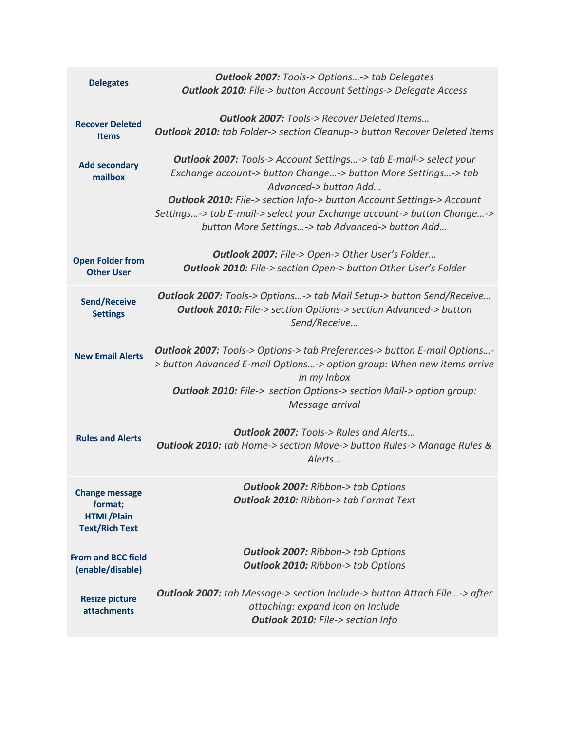| <b>Delegates</b>                                                               | <b>Outlook 2007:</b> Tools-> Options-> tab Delegates<br><b>Outlook 2010:</b> File-> button Account Settings-> Delegate Access                                                                                                                                                                                                                                                    |
|--------------------------------------------------------------------------------|----------------------------------------------------------------------------------------------------------------------------------------------------------------------------------------------------------------------------------------------------------------------------------------------------------------------------------------------------------------------------------|
| <b>Recover Deleted</b><br><b>Items</b>                                         | <b>Outlook 2007:</b> Tools-> Recover Deleted Items<br><b>Outlook 2010:</b> tab Folder-> section Cleanup-> button Recover Deleted Items                                                                                                                                                                                                                                           |
| <b>Add secondary</b><br>mailbox                                                | <b>Outlook 2007:</b> Tools-> Account Settings-> tab E-mail-> select your<br>Exchange account-> button Change-> button More Settings-> tab<br>Advanced-> button Add<br><b>Outlook 2010:</b> File-> section Info-> button Account Settings-> Account<br>Settings-> tab E-mail-> select your Exchange account-> button Change-><br>button More Settings-> tab Advanced-> button Add |
| <b>Open Folder from</b><br><b>Other User</b>                                   | <b>Outlook 2007:</b> File-> Open-> Other User's Folder<br><b>Outlook 2010:</b> File-> section Open-> button Other User's Folder                                                                                                                                                                                                                                                  |
| <b>Send/Receive</b><br><b>Settings</b>                                         | <b>Outlook 2007:</b> Tools-> Options-> tab Mail Setup-> button Send/Receive<br><b>Outlook 2010:</b> File-> section Options-> section Advanced-> button<br>Send/Receive                                                                                                                                                                                                           |
| <b>New Email Alerts</b>                                                        | <b>Outlook 2007:</b> Tools-> Options-> tab Preferences-> button E-mail Options-<br>> button Advanced E-mail Options-> option group: When new items arrive<br>in my Inbox<br><b>Outlook 2010:</b> File-> section Options-> section Mail-> option group:<br>Message arrival                                                                                                        |
| <b>Rules and Alerts</b>                                                        | <b>Outlook 2007:</b> Tools-> Rules and Alerts<br><b>Outlook 2010:</b> tab Home-> section Move-> button Rules-> Manage Rules &<br>Alerts                                                                                                                                                                                                                                          |
| <b>Change message</b><br>format;<br><b>HTML/Plain</b><br><b>Text/Rich Text</b> | <b>Outlook 2007: Ribbon-&gt; tab Options</b><br><b>Outlook 2010: Ribbon-&gt; tab Format Text</b>                                                                                                                                                                                                                                                                                 |
| <b>From and BCC field</b><br>(enable/disable)                                  | <b>Outlook 2007: Ribbon-&gt; tab Options</b><br><b>Outlook 2010: Ribbon-&gt; tab Options</b>                                                                                                                                                                                                                                                                                     |
| <b>Resize picture</b><br>attachments                                           | <b>Outlook 2007:</b> tab Message-> section Include-> button Attach File-> after<br>attaching: expand icon on Include<br><b>Outlook 2010:</b> File-> section Info                                                                                                                                                                                                                 |